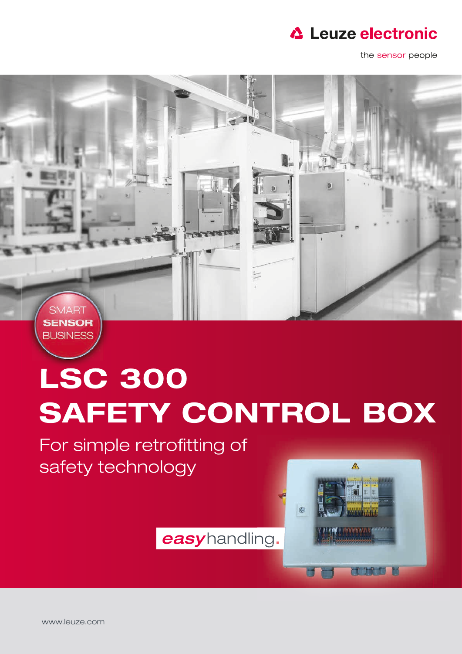

the sensor people



## LSC 300 SAFETY CONTROL BOX

For simple retrofitting of safety technology

easyhandling.